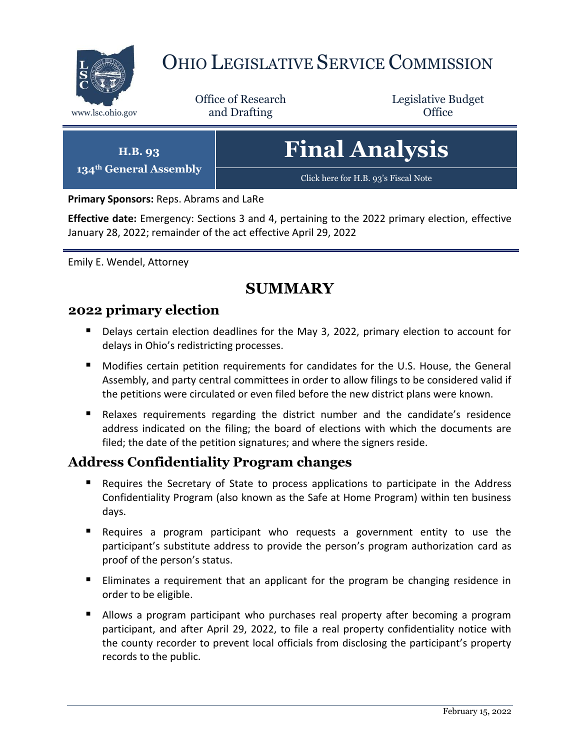

# OHIO LEGISLATIVE SERVICE COMMISSION

Office of Research www.lsc.ohio.gov **and Drafting Office** 

Legislative Budget

**H.B. 93 134th General Assembly Final Analysis** [Click here for H.B. 93](https://www.legislature.ohio.gov/legislation/legislation-documents?id=GA134-HB-93)'s Fiscal Note

**Primary Sponsors:** Reps. Abrams and LaRe

**Effective date:** Emergency: Sections 3 and 4, pertaining to the 2022 primary election, effective January 28, 2022; remainder of the act effective April 29, 2022

Emily E. Wendel, Attorney

## **SUMMARY**

#### **2022 primary election**

- Delays certain election deadlines for the May 3, 2022, primary election to account for delays in Ohio's redistricting processes.
- Modifies certain petition requirements for candidates for the U.S. House, the General Assembly, and party central committees in order to allow filings to be considered valid if the petitions were circulated or even filed before the new district plans were known.
- Relaxes requirements regarding the district number and the candidate's residence address indicated on the filing; the board of elections with which the documents are filed; the date of the petition signatures; and where the signers reside.

## **Address Confidentiality Program changes**

- **Requires the Secretary of State to process applications to participate in the Address** Confidentiality Program (also known as the Safe at Home Program) within ten business days.
- Requires a program participant who requests a government entity to use the participant's substitute address to provide the person's program authorization card as proof of the person's status.
- **Eliminates a requirement that an applicant for the program be changing residence in** order to be eligible.
- Allows a program participant who purchases real property after becoming a program participant, and after April 29, 2022, to file a real property confidentiality notice with the county recorder to prevent local officials from disclosing the participant's property records to the public.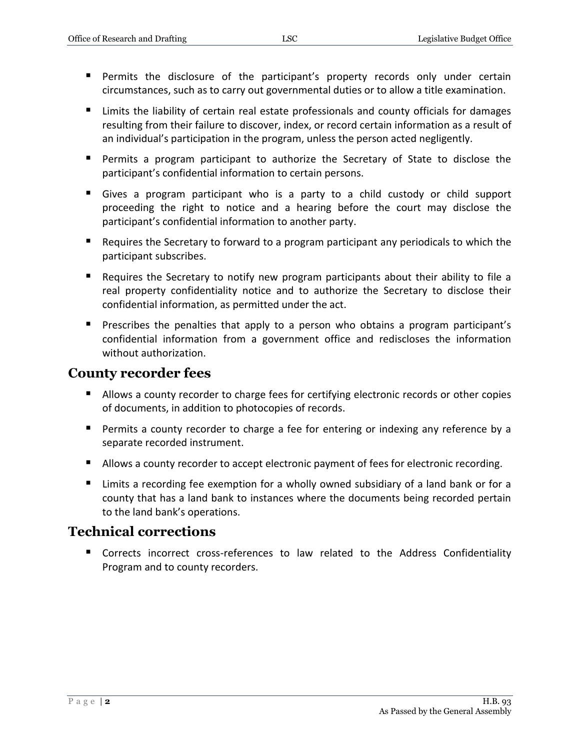- Permits the disclosure of the participant's property records only under certain circumstances, such as to carry out governmental duties or to allow a title examination.
- Limits the liability of certain real estate professionals and county officials for damages resulting from their failure to discover, index, or record certain information as a result of an individual's participation in the program, unless the person acted negligently.
- Permits a program participant to authorize the Secretary of State to disclose the participant's confidential information to certain persons.
- Gives a program participant who is a party to a child custody or child support proceeding the right to notice and a hearing before the court may disclose the participant's confidential information to another party.
- Requires the Secretary to forward to a program participant any periodicals to which the participant subscribes.
- Requires the Secretary to notify new program participants about their ability to file a real property confidentiality notice and to authorize the Secretary to disclose their confidential information, as permitted under the act.
- **Prescribes the penalties that apply to a person who obtains a program participant's** confidential information from a government office and rediscloses the information without authorization.

### **County recorder fees**

- Allows a county recorder to charge fees for certifying electronic records or other copies of documents, in addition to photocopies of records.
- **Permits a county recorder to charge a fee for entering or indexing any reference by a** separate recorded instrument.
- Allows a county recorder to accept electronic payment of fees for electronic recording.
- Limits a recording fee exemption for a wholly owned subsidiary of a land bank or for a county that has a land bank to instances where the documents being recorded pertain to the land bank's operations.

## **Technical corrections**

 Corrects incorrect cross-references to law related to the Address Confidentiality Program and to county recorders.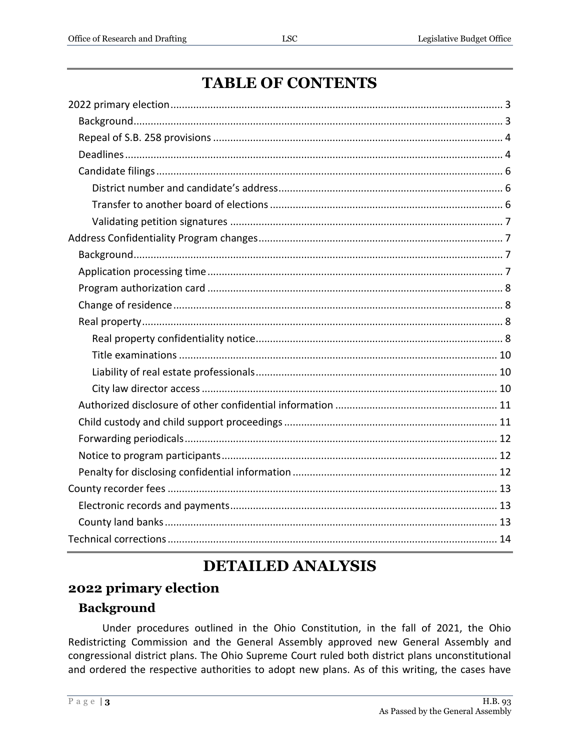| <b>TABLE OF CONTENTS</b> |  |
|--------------------------|--|
|--------------------------|--|

## **DETAILED ANALYSIS**

## <span id="page-2-0"></span>2022 primary election

## <span id="page-2-1"></span>**Background**

Under procedures outlined in the Ohio Constitution, in the fall of 2021, the Ohio Redistricting Commission and the General Assembly approved new General Assembly and congressional district plans. The Ohio Supreme Court ruled both district plans unconstitutional and ordered the respective authorities to adopt new plans. As of this writing, the cases have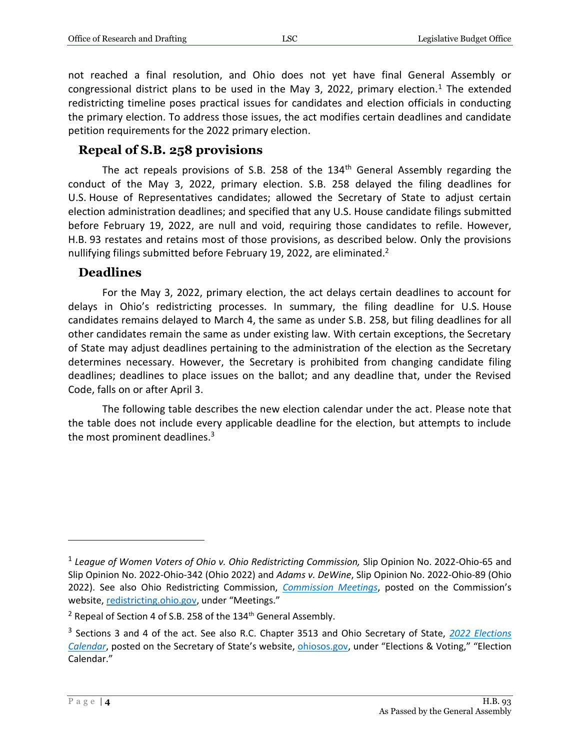not reached a final resolution, and Ohio does not yet have final General Assembly or congressional district plans to be used in the May 3, 2022, primary election.<sup>1</sup> The extended redistricting timeline poses practical issues for candidates and election officials in conducting the primary election. To address those issues, the act modifies certain deadlines and candidate petition requirements for the 2022 primary election.

#### <span id="page-3-0"></span>**Repeal of S.B. 258 provisions**

The act repeals provisions of S.B. 258 of the  $134<sup>th</sup>$  General Assembly regarding the conduct of the May 3, 2022, primary election. S.B. 258 delayed the filing deadlines for U.S. House of Representatives candidates; allowed the Secretary of State to adjust certain election administration deadlines; and specified that any U.S. House candidate filings submitted before February 19, 2022, are null and void, requiring those candidates to refile. However, H.B. 93 restates and retains most of those provisions, as described below. Only the provisions nullifying filings submitted before February 19, 2022, are eliminated.<sup>2</sup>

#### <span id="page-3-1"></span>**Deadlines**

For the May 3, 2022, primary election, the act delays certain deadlines to account for delays in Ohio's redistricting processes. In summary, the filing deadline for U.S. House candidates remains delayed to March 4, the same as under S.B. 258, but filing deadlines for all other candidates remain the same as under existing law. With certain exceptions, the Secretary of State may adjust deadlines pertaining to the administration of the election as the Secretary determines necessary. However, the Secretary is prohibited from changing candidate filing deadlines; deadlines to place issues on the ballot; and any deadline that, under the Revised Code, falls on or after April 3.

The following table describes the new election calendar under the act. Please note that the table does not include every applicable deadline for the election, but attempts to include the most prominent deadlines. $3$ 

<sup>&</sup>lt;sup>1</sup> League of Women Voters of Ohio v. Ohio Redistricting Commission, Slip Opinion No. 2022-Ohio-65 and Slip Opinion No. 2022-Ohio-342 (Ohio 2022) and *Adams v. DeWine*, Slip Opinion No. 2022-Ohio-89 (Ohio 2022). See also Ohio Redistricting Commission, *[Commission Meetings](https://www.redistricting.ohio.gov/meetings)*, posted on the Commission's website, [redistricting.ohio.gov,](https://www.redistricting.ohio.gov/) under "Meetings."

<sup>&</sup>lt;sup>2</sup> Repeal of Section 4 of S.B. 258 of the 134<sup>th</sup> General Assembly.

<sup>3</sup> Sections 3 and 4 of the act. See also R.C. Chapter 3513 and Ohio Secretary of State, *[2022 Elections](https://www.ohiosos.gov/publications/2022-elections-calendar/)  [Calendar](https://www.ohiosos.gov/publications/2022-elections-calendar/)*, posted on the Secretary of State's website, [ohiosos.gov,](https://www.ohiosos.gov/) under "Elections & Voting," "Election Calendar."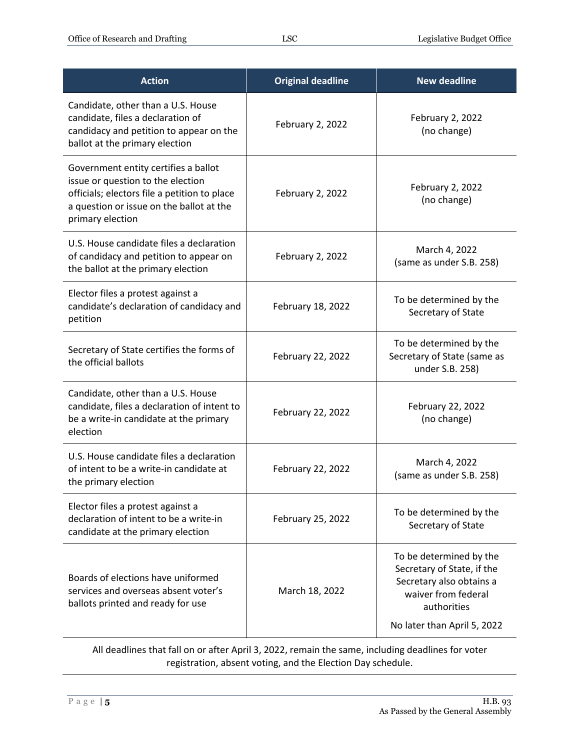| <b>Action</b>                                                                                                                                                                             | <b>Original deadline</b> | <b>New deadline</b>                                                                                                                                    |
|-------------------------------------------------------------------------------------------------------------------------------------------------------------------------------------------|--------------------------|--------------------------------------------------------------------------------------------------------------------------------------------------------|
| Candidate, other than a U.S. House<br>candidate, files a declaration of<br>candidacy and petition to appear on the<br>ballot at the primary election                                      | February 2, 2022         | February 2, 2022<br>(no change)                                                                                                                        |
| Government entity certifies a ballot<br>issue or question to the election<br>officials; electors file a petition to place<br>a question or issue on the ballot at the<br>primary election | February 2, 2022         | February 2, 2022<br>(no change)                                                                                                                        |
| U.S. House candidate files a declaration<br>of candidacy and petition to appear on<br>the ballot at the primary election                                                                  | February 2, 2022         | March 4, 2022<br>(same as under S.B. 258)                                                                                                              |
| Elector files a protest against a<br>candidate's declaration of candidacy and<br>petition                                                                                                 | February 18, 2022        | To be determined by the<br>Secretary of State                                                                                                          |
| Secretary of State certifies the forms of<br>the official ballots                                                                                                                         | February 22, 2022        | To be determined by the<br>Secretary of State (same as<br>under S.B. 258)                                                                              |
| Candidate, other than a U.S. House<br>candidate, files a declaration of intent to<br>be a write-in candidate at the primary<br>election                                                   | February 22, 2022        | February 22, 2022<br>(no change)                                                                                                                       |
| U.S. House candidate files a declaration<br>of intent to be a write-in candidate at<br>the primary election                                                                               | February 22, 2022        | March 4, 2022<br>(same as under S.B. 258)                                                                                                              |
| Elector files a protest against a<br>declaration of intent to be a write-in<br>candidate at the primary election                                                                          | February 25, 2022        | To be determined by the<br>Secretary of State                                                                                                          |
| Boards of elections have uniformed<br>services and overseas absent voter's<br>ballots printed and ready for use                                                                           | March 18, 2022           | To be determined by the<br>Secretary of State, if the<br>Secretary also obtains a<br>waiver from federal<br>authorities<br>No later than April 5, 2022 |

All deadlines that fall on or after April 3, 2022, remain the same, including deadlines for voter registration, absent voting, and the Election Day schedule.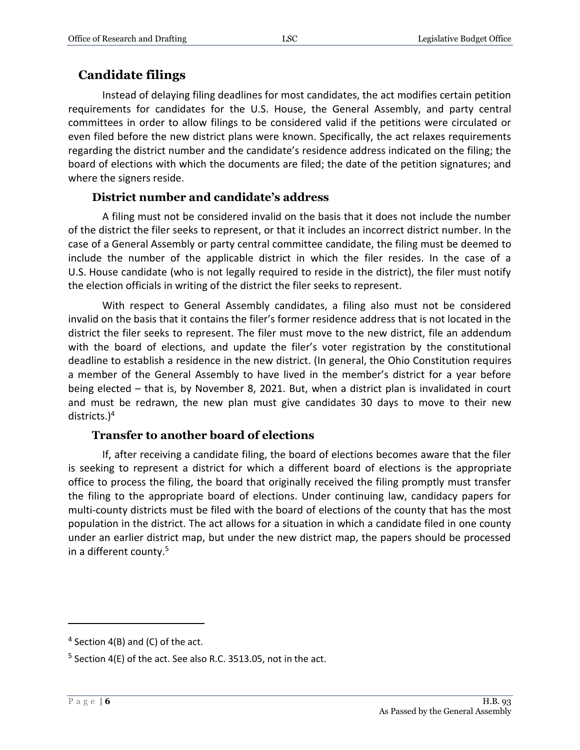## <span id="page-5-0"></span>**Candidate filings**

Instead of delaying filing deadlines for most candidates, the act modifies certain petition requirements for candidates for the U.S. House, the General Assembly, and party central committees in order to allow filings to be considered valid if the petitions were circulated or even filed before the new district plans were known. Specifically, the act relaxes requirements regarding the district number and the candidate's residence address indicated on the filing; the board of elections with which the documents are filed; the date of the petition signatures; and where the signers reside.

#### **District number and candidate's address**

<span id="page-5-1"></span>A filing must not be considered invalid on the basis that it does not include the number of the district the filer seeks to represent, or that it includes an incorrect district number. In the case of a General Assembly or party central committee candidate, the filing must be deemed to include the number of the applicable district in which the filer resides. In the case of a U.S. House candidate (who is not legally required to reside in the district), the filer must notify the election officials in writing of the district the filer seeks to represent.

With respect to General Assembly candidates, a filing also must not be considered invalid on the basis that it contains the filer's former residence address that is not located in the district the filer seeks to represent. The filer must move to the new district, file an addendum with the board of elections, and update the filer's voter registration by the constitutional deadline to establish a residence in the new district. (In general, the Ohio Constitution requires a member of the General Assembly to have lived in the member's district for a year before being elected – that is, by November 8, 2021. But, when a district plan is invalidated in court and must be redrawn, the new plan must give candidates 30 days to move to their new districts.)<sup>4</sup>

#### **Transfer to another board of elections**

<span id="page-5-2"></span>If, after receiving a candidate filing, the board of elections becomes aware that the filer is seeking to represent a district for which a different board of elections is the appropriate office to process the filing, the board that originally received the filing promptly must transfer the filing to the appropriate board of elections. Under continuing law, candidacy papers for multi-county districts must be filed with the board of elections of the county that has the most population in the district. The act allows for a situation in which a candidate filed in one county under an earlier district map, but under the new district map, the papers should be processed in a different county.<sup>5</sup>

 $4$  Section 4(B) and (C) of the act.

 $5$  Section 4(E) of the act. See also R.C. 3513.05, not in the act.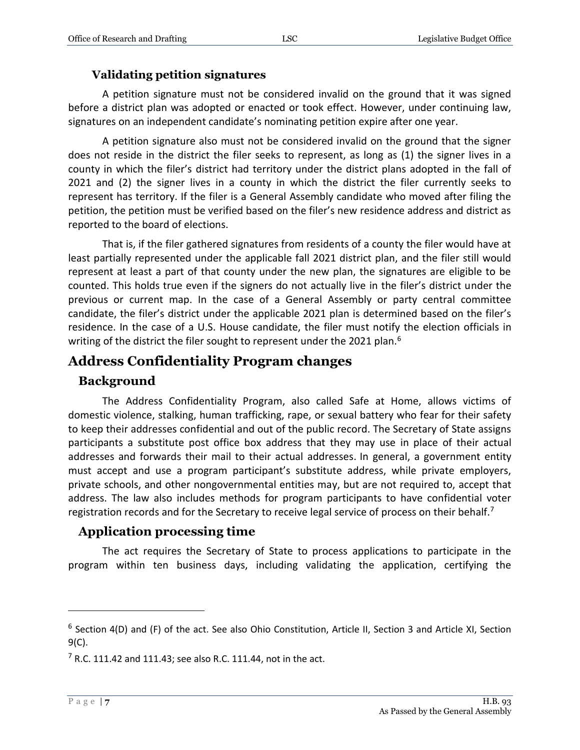#### **Validating petition signatures**

<span id="page-6-0"></span>A petition signature must not be considered invalid on the ground that it was signed before a district plan was adopted or enacted or took effect. However, under continuing law, signatures on an independent candidate's nominating petition expire after one year.

A petition signature also must not be considered invalid on the ground that the signer does not reside in the district the filer seeks to represent, as long as (1) the signer lives in a county in which the filer's district had territory under the district plans adopted in the fall of 2021 and (2) the signer lives in a county in which the district the filer currently seeks to represent has territory. If the filer is a General Assembly candidate who moved after filing the petition, the petition must be verified based on the filer's new residence address and district as reported to the board of elections.

That is, if the filer gathered signatures from residents of a county the filer would have at least partially represented under the applicable fall 2021 district plan, and the filer still would represent at least a part of that county under the new plan, the signatures are eligible to be counted. This holds true even if the signers do not actually live in the filer's district under the previous or current map. In the case of a General Assembly or party central committee candidate, the filer's district under the applicable 2021 plan is determined based on the filer's residence. In the case of a U.S. House candidate, the filer must notify the election officials in writing of the district the filer sought to represent under the 2021 plan.<sup>6</sup>

## <span id="page-6-1"></span>**Address Confidentiality Program changes**

#### <span id="page-6-2"></span>**Background**

The Address Confidentiality Program, also called Safe at Home, allows victims of domestic violence, stalking, human trafficking, rape, or sexual battery who fear for their safety to keep their addresses confidential and out of the public record. The Secretary of State assigns participants a substitute post office box address that they may use in place of their actual addresses and forwards their mail to their actual addresses. In general, a government entity must accept and use a program participant's substitute address, while private employers, private schools, and other nongovernmental entities may, but are not required to, accept that address. The law also includes methods for program participants to have confidential voter registration records and for the Secretary to receive legal service of process on their behalf.<sup>7</sup>

#### <span id="page-6-3"></span>**Application processing time**

The act requires the Secretary of State to process applications to participate in the program within ten business days, including validating the application, certifying the

<sup>&</sup>lt;sup>6</sup> Section 4(D) and (F) of the act. See also Ohio Constitution, Article II, Section 3 and Article XI, Section 9(C).

 $7$  R.C. 111.42 and 111.43; see also R.C. 111.44, not in the act.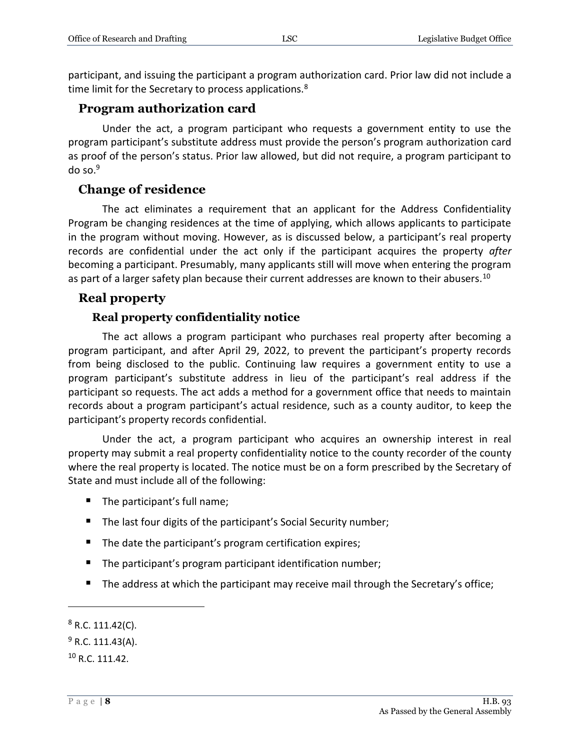participant, and issuing the participant a program authorization card. Prior law did not include a time limit for the Secretary to process applications.<sup>8</sup>

#### <span id="page-7-0"></span>**Program authorization card**

Under the act, a program participant who requests a government entity to use the program participant's substitute address must provide the person's program authorization card as proof of the person's status. Prior law allowed, but did not require, a program participant to do so. $9$ 

#### <span id="page-7-1"></span>**Change of residence**

The act eliminates a requirement that an applicant for the Address Confidentiality Program be changing residences at the time of applying, which allows applicants to participate in the program without moving. However, as is discussed below, a participant's real property records are confidential under the act only if the participant acquires the property *after*  becoming a participant. Presumably, many applicants still will move when entering the program as part of a larger safety plan because their current addresses are known to their abusers.<sup>10</sup>

#### <span id="page-7-2"></span>**Real property**

#### **Real property confidentiality notice**

<span id="page-7-3"></span>The act allows a program participant who purchases real property after becoming a program participant, and after April 29, 2022, to prevent the participant's property records from being disclosed to the public. Continuing law requires a government entity to use a program participant's substitute address in lieu of the participant's real address if the participant so requests. The act adds a method for a government office that needs to maintain records about a program participant's actual residence, such as a county auditor, to keep the participant's property records confidential.

Under the act, a program participant who acquires an ownership interest in real property may submit a real property confidentiality notice to the county recorder of the county where the real property is located. The notice must be on a form prescribed by the Secretary of State and must include all of the following:

- The participant's full name;
- The last four digits of the participant's Social Security number;
- The date the participant's program certification expires;
- The participant's program participant identification number;
- The address at which the participant may receive mail through the Secretary's office;

 $8$  R.C. 111.42(C).

 $9$  R.C. 111.43(A).

 $10 R.C. 111.42.$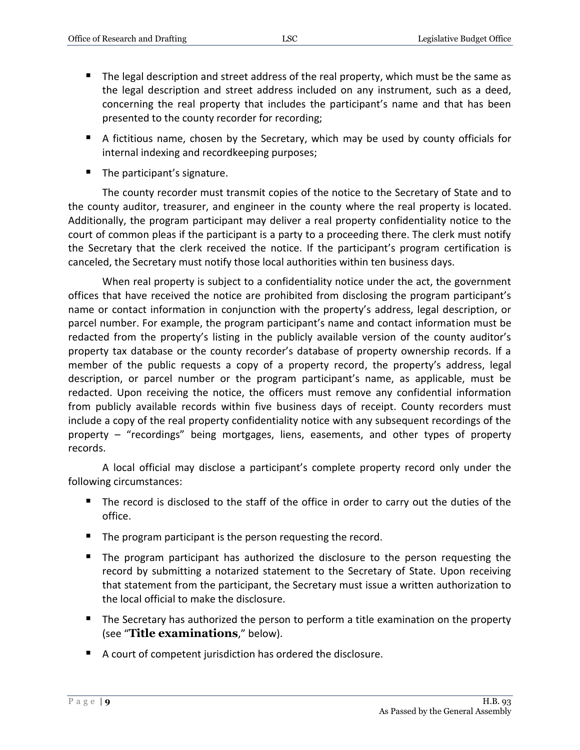- The legal description and street address of the real property, which must be the same as the legal description and street address included on any instrument, such as a deed, concerning the real property that includes the participant's name and that has been presented to the county recorder for recording;
- A fictitious name, chosen by the Secretary, which may be used by county officials for internal indexing and recordkeeping purposes;
- The participant's signature.

The county recorder must transmit copies of the notice to the Secretary of State and to the county auditor, treasurer, and engineer in the county where the real property is located. Additionally, the program participant may deliver a real property confidentiality notice to the court of common pleas if the participant is a party to a proceeding there. The clerk must notify the Secretary that the clerk received the notice. If the participant's program certification is canceled, the Secretary must notify those local authorities within ten business days.

When real property is subject to a confidentiality notice under the act, the government offices that have received the notice are prohibited from disclosing the program participant's name or contact information in conjunction with the property's address, legal description, or parcel number. For example, the program participant's name and contact information must be redacted from the property's listing in the publicly available version of the county auditor's property tax database or the county recorder's database of property ownership records. If a member of the public requests a copy of a property record, the property's address, legal description, or parcel number or the program participant's name, as applicable, must be redacted. Upon receiving the notice, the officers must remove any confidential information from publicly available records within five business days of receipt. County recorders must include a copy of the real property confidentiality notice with any subsequent recordings of the property – "recordings" being mortgages, liens, easements, and other types of property records.

A local official may disclose a participant's complete property record only under the following circumstances:

- The record is disclosed to the staff of the office in order to carry out the duties of the office.
- The program participant is the person requesting the record.
- The program participant has authorized the disclosure to the person requesting the record by submitting a notarized statement to the Secretary of State. Upon receiving that statement from the participant, the Secretary must issue a written authorization to the local official to make the disclosure.
- The Secretary has authorized the person to perform a title examination on the property (see "**Title examinations**," below).
- A court of competent jurisdiction has ordered the disclosure.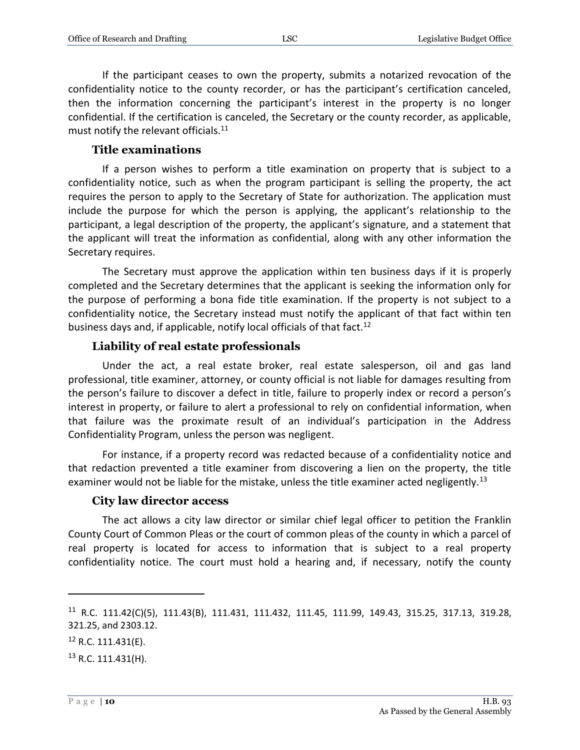If the participant ceases to own the property, submits a notarized revocation of the confidentiality notice to the county recorder, or has the participant's certification canceled, then the information concerning the participant's interest in the property is no longer confidential. If the certification is canceled, the Secretary or the county recorder, as applicable, must notify the relevant officials.<sup>11</sup>

#### **Title examinations**

<span id="page-9-0"></span>If a person wishes to perform a title examination on property that is subject to a confidentiality notice, such as when the program participant is selling the property, the act requires the person to apply to the Secretary of State for authorization. The application must include the purpose for which the person is applying, the applicant's relationship to the participant, a legal description of the property, the applicant's signature, and a statement that the applicant will treat the information as confidential, along with any other information the Secretary requires.

The Secretary must approve the application within ten business days if it is properly completed and the Secretary determines that the applicant is seeking the information only for the purpose of performing a bona fide title examination. If the property is not subject to a confidentiality notice, the Secretary instead must notify the applicant of that fact within ten business days and, if applicable, notify local officials of that fact.<sup>12</sup>

#### **Liability of real estate professionals**

<span id="page-9-1"></span>Under the act, a real estate broker, real estate salesperson, oil and gas land professional, title examiner, attorney, or county official is not liable for damages resulting from the person's failure to discover a defect in title, failure to properly index or record a person's interest in property, or failure to alert a professional to rely on confidential information, when that failure was the proximate result of an individual's participation in the Address Confidentiality Program, unless the person was negligent.

For instance, if a property record was redacted because of a confidentiality notice and that redaction prevented a title examiner from discovering a lien on the property, the title examiner would not be liable for the mistake, unless the title examiner acted negligently.<sup>13</sup>

#### **City law director access**

<span id="page-9-2"></span>The act allows a city law director or similar chief legal officer to petition the Franklin County Court of Common Pleas or the court of common pleas of the county in which a parcel of real property is located for access to information that is subject to a real property confidentiality notice. The court must hold a hearing and, if necessary, notify the county

<sup>11</sup> R.C. 111.42(C)(5), 111.43(B), 111.431, 111.432, 111.45, 111.99, 149.43, 315.25, 317.13, 319.28, 321.25, and 2303.12.

 $12$  R.C. 111.431(E).

 $13$  R.C. 111.431(H).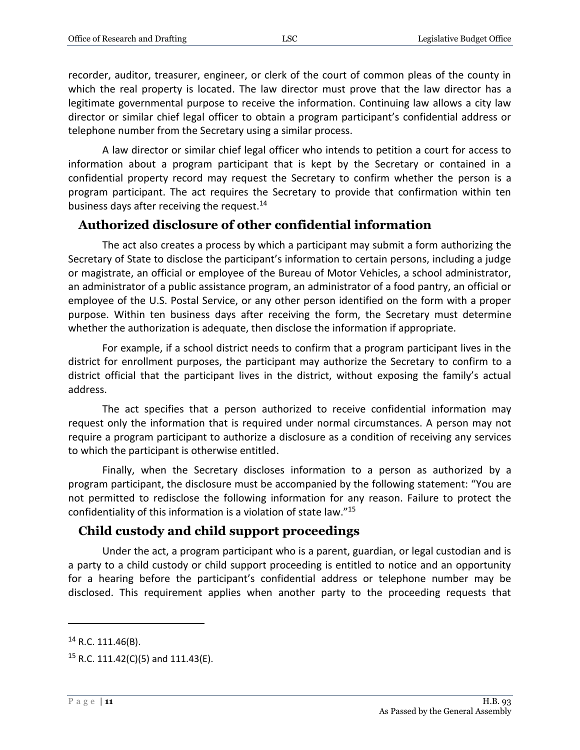recorder, auditor, treasurer, engineer, or clerk of the court of common pleas of the county in which the real property is located. The law director must prove that the law director has a legitimate governmental purpose to receive the information. Continuing law allows a city law director or similar chief legal officer to obtain a program participant's confidential address or telephone number from the Secretary using a similar process.

A law director or similar chief legal officer who intends to petition a court for access to information about a program participant that is kept by the Secretary or contained in a confidential property record may request the Secretary to confirm whether the person is a program participant. The act requires the Secretary to provide that confirmation within ten business days after receiving the request.<sup>14</sup>

#### <span id="page-10-0"></span>**Authorized disclosure of other confidential information**

The act also creates a process by which a participant may submit a form authorizing the Secretary of State to disclose the participant's information to certain persons, including a judge or magistrate, an official or employee of the Bureau of Motor Vehicles, a school administrator, an administrator of a public assistance program, an administrator of a food pantry, an official or employee of the U.S. Postal Service, or any other person identified on the form with a proper purpose. Within ten business days after receiving the form, the Secretary must determine whether the authorization is adequate, then disclose the information if appropriate.

For example, if a school district needs to confirm that a program participant lives in the district for enrollment purposes, the participant may authorize the Secretary to confirm to a district official that the participant lives in the district, without exposing the family's actual address.

The act specifies that a person authorized to receive confidential information may request only the information that is required under normal circumstances. A person may not require a program participant to authorize a disclosure as a condition of receiving any services to which the participant is otherwise entitled.

Finally, when the Secretary discloses information to a person as authorized by a program participant, the disclosure must be accompanied by the following statement: "You are not permitted to redisclose the following information for any reason. Failure to protect the confidentiality of this information is a violation of state law." 15

#### <span id="page-10-1"></span>**Child custody and child support proceedings**

Under the act, a program participant who is a parent, guardian, or legal custodian and is a party to a child custody or child support proceeding is entitled to notice and an opportunity for a hearing before the participant's confidential address or telephone number may be disclosed. This requirement applies when another party to the proceeding requests that

<sup>14</sup> R.C. 111.46(B).

<sup>&</sup>lt;sup>15</sup> R.C. 111.42(C)(5) and 111.43(E).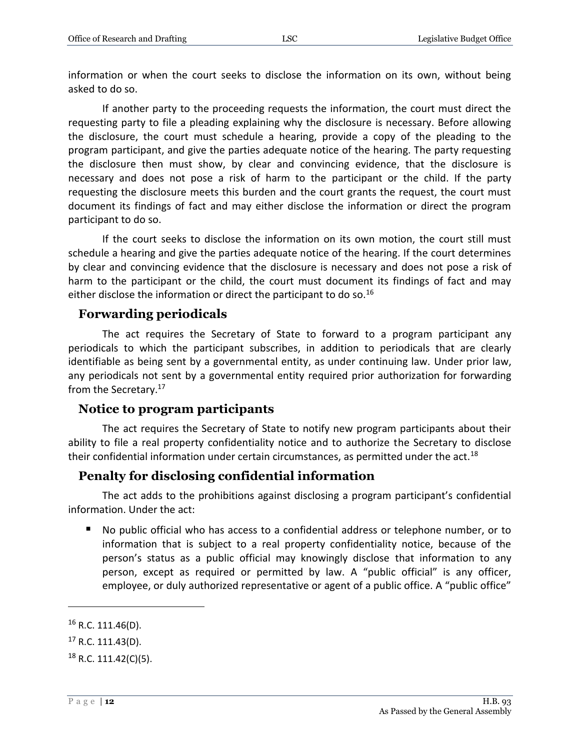information or when the court seeks to disclose the information on its own, without being asked to do so.

If another party to the proceeding requests the information, the court must direct the requesting party to file a pleading explaining why the disclosure is necessary. Before allowing the disclosure, the court must schedule a hearing, provide a copy of the pleading to the program participant, and give the parties adequate notice of the hearing. The party requesting the disclosure then must show, by clear and convincing evidence, that the disclosure is necessary and does not pose a risk of harm to the participant or the child. If the party requesting the disclosure meets this burden and the court grants the request, the court must document its findings of fact and may either disclose the information or direct the program participant to do so.

If the court seeks to disclose the information on its own motion, the court still must schedule a hearing and give the parties adequate notice of the hearing. If the court determines by clear and convincing evidence that the disclosure is necessary and does not pose a risk of harm to the participant or the child, the court must document its findings of fact and may either disclose the information or direct the participant to do so.<sup>16</sup>

#### <span id="page-11-0"></span>**Forwarding periodicals**

The act requires the Secretary of State to forward to a program participant any periodicals to which the participant subscribes, in addition to periodicals that are clearly identifiable as being sent by a governmental entity, as under continuing law. Under prior law, any periodicals not sent by a governmental entity required prior authorization for forwarding from the Secretary.<sup>17</sup>

#### <span id="page-11-1"></span>**Notice to program participants**

The act requires the Secretary of State to notify new program participants about their ability to file a real property confidentiality notice and to authorize the Secretary to disclose their confidential information under certain circumstances, as permitted under the act.<sup>18</sup>

#### <span id="page-11-2"></span>**Penalty for disclosing confidential information**

The act adds to the prohibitions against disclosing a program participant's confidential information. Under the act:

 No public official who has access to a confidential address or telephone number, or to information that is subject to a real property confidentiality notice, because of the person's status as a public official may knowingly disclose that information to any person, except as required or permitted by law. A "public official" is any officer, employee, or duly authorized representative or agent of a public office. A "public office"

 $16$  R.C. 111.46(D).

 $17$  R.C. 111.43(D).

 $18$  R.C. 111.42(C)(5).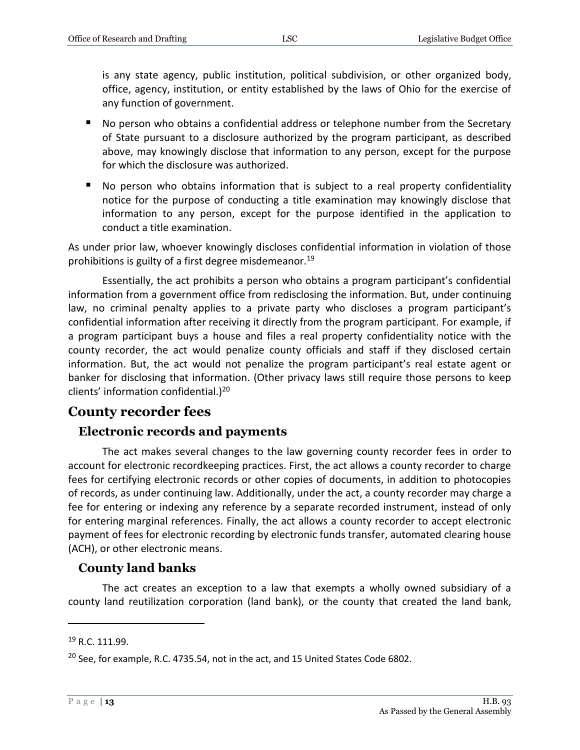is any state agency, public institution, political subdivision, or other organized body, office, agency, institution, or entity established by the laws of Ohio for the exercise of any function of government.

- No person who obtains a confidential address or telephone number from the Secretary of State pursuant to a disclosure authorized by the program participant, as described above, may knowingly disclose that information to any person, except for the purpose for which the disclosure was authorized.
- No person who obtains information that is subject to a real property confidentiality notice for the purpose of conducting a title examination may knowingly disclose that information to any person, except for the purpose identified in the application to conduct a title examination.

As under prior law, whoever knowingly discloses confidential information in violation of those prohibitions is guilty of a first degree misdemeanor.<sup>19</sup>

Essentially, the act prohibits a person who obtains a program participant's confidential information from a government office from redisclosing the information. But, under continuing law, no criminal penalty applies to a private party who discloses a program participant's confidential information after receiving it directly from the program participant. For example, if a program participant buys a house and files a real property confidentiality notice with the county recorder, the act would penalize county officials and staff if they disclosed certain information. But, the act would not penalize the program participant's real estate agent or banker for disclosing that information. (Other privacy laws still require those persons to keep clients' information confidential.)<sup>20</sup>

## <span id="page-12-0"></span>**County recorder fees**

## <span id="page-12-1"></span>**Electronic records and payments**

The act makes several changes to the law governing county recorder fees in order to account for electronic recordkeeping practices. First, the act allows a county recorder to charge fees for certifying electronic records or other copies of documents, in addition to photocopies of records, as under continuing law. Additionally, under the act, a county recorder may charge a fee for entering or indexing any reference by a separate recorded instrument, instead of only for entering marginal references. Finally, the act allows a county recorder to accept electronic payment of fees for electronic recording by electronic funds transfer, automated clearing house (ACH), or other electronic means.

## <span id="page-12-2"></span>**County land banks**

The act creates an exception to a law that exempts a wholly owned subsidiary of a county land reutilization corporation (land bank), or the county that created the land bank,

<sup>19</sup> R.C. 111.99.

 $20$  See, for example, R.C. 4735.54, not in the act, and 15 United States Code 6802.